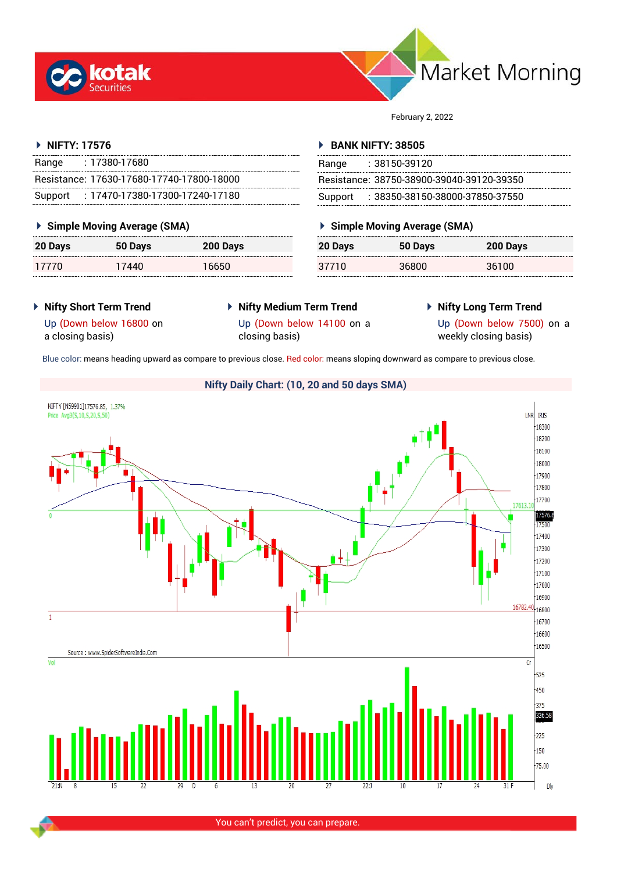



February 2, 2022

# **NIFTY: 17576**

| Range   | : 17380-17680                             |
|---------|-------------------------------------------|
|         | Resistance: 17630-17680-17740-17800-18000 |
| Support | : 17470-17380-17300-17240-17180           |

# **Simple Moving Average (SMA)**

| <b>20 Days</b> | 50 Days | 200 Days |
|----------------|---------|----------|
| 17770          | 17440   | 16650    |

# **BANK NIFTY: 38505**

| Range | $: 38150-39120$                           |
|-------|-------------------------------------------|
|       | Resistance: 38750-38900-39040-39120-39350 |
|       | Support: 38350-38150-38000-37850-37550    |

# **Simple Moving Average (SMA)**

| 20 Days | 50 Days | 200 Days |
|---------|---------|----------|
| 37710   | 36800   | 36100    |

- **Nifty Short Term Trend**
- **Nifty Medium Term Trend** Up (Down below 14100 on a closing basis)
- **Nifty Long Term Trend**

Up (Down below 16800 on a closing basis)

Up (Down below 7500) on a weekly closing basis)

Blue color: means heading upward as compare to previous close. Red color: means sloping downward as compare to previous close.

# **Nifty Daily Chart: (10, 20 and 50 days SMA)**



You can't predict, you can prepare.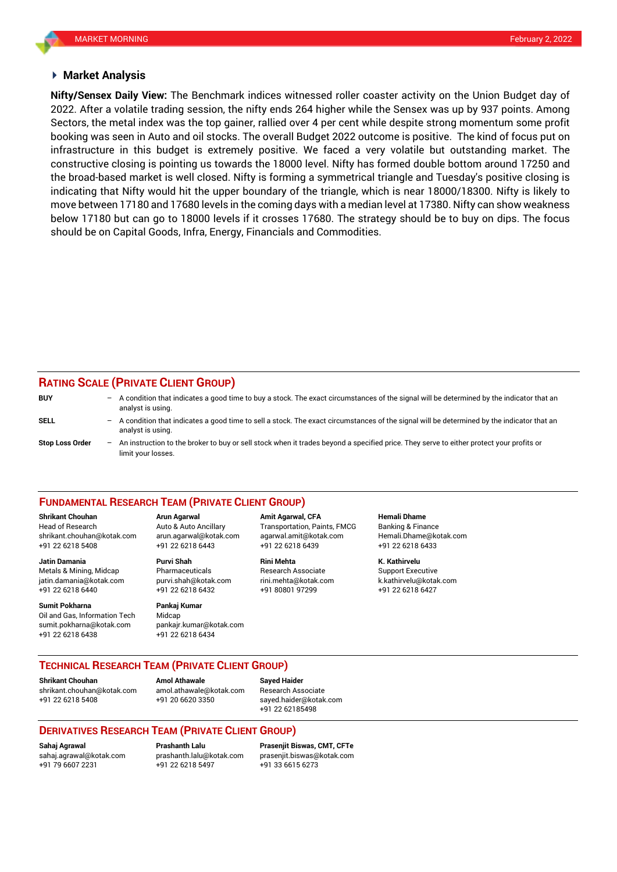#### **Market Analysis**

2022. After a volatile trading session, the nifty ends 264 higher while the Sensex was up by 937 points. Among **Nifty/Sensex Daily View:** The Benchmark indices witnessed roller coaster activity on the Union Budget day of Sectors, the metal index was the top gainer, rallied over 4 per cent while despite strong momentum some profit booking was seen in Auto and oil stocks. The overall Budget 2022 outcome is positive. The kind of focus put on infrastructure in this budget is extremely positive. We faced a very volatile but outstanding market. The constructive closing is pointing us towards the 18000 level. Nifty has formed double bottom around 17250 and the broad-based market is well closed. Nifty is forming a symmetrical triangle and Tuesday's positive closing is indicating that Nifty would hit the upper boundary of the triangle, which is near 18000/18300. Nifty is likely to move between 17180 and 17680 levels in the coming days with a median level at 17380. Nifty can show weakness below 17180 but can go to 18000 levels if it crosses 17680. The strategy should be to buy on dips. The focus should be on Capital Goods, Infra, Energy, Financials and Commodities.

### **RATING SCALE (PRIVATE CLIENT GROUP)**

| <b>BUY</b>             | $\qquad \qquad -$        | A condition that indicates a good time to buy a stock. The exact circumstances of the signal will be determined by the indicator that an<br>analyst is using.  |
|------------------------|--------------------------|----------------------------------------------------------------------------------------------------------------------------------------------------------------|
| SELL                   | -                        | A condition that indicates a good time to sell a stock. The exact circumstances of the signal will be determined by the indicator that an<br>analyst is using. |
| <b>Stop Loss Order</b> | $\overline{\phantom{0}}$ | An instruction to the broker to buy or sell stock when it trades beyond a specified price. They serve to either protect your profits or<br>limit your losses.  |

#### **FUNDAMENTAL RESEARCH TEAM (PRIVATE CLIENT GROUP)**

**Shrikant Chouhan Arun Agarwal Amit Agarwal, CFA Hemali Dhame**

+91 22 6218 5408 +91 22 6218 6443 +91 22 6218 6439 +91 22 6218 6433 **Jatin Damania Purvi Shah Rini Mehta K. Kathirvelu**

Metals & Mining, Midcap Pharmaceuticals Research Associate Support Executive jatin.damania@kotak.com [purvi.shah@kotak.com](mailto:purvi.shah@kotak.com) rini.mehta@kotak.com [k.kathirvelu@kotak.com](mailto:k.kathirvelu@kotak.com) +91 22 6218 6440 +91 22 6218 6432 +91 80801 97299 +91 22 6218 6427

**Sumit Pokharna Pankaj Kumar**

Oil and Gas, Information Tech Midcap sumit.pokharna@kotak.com pankajr.kumar@kotak.com +91 22 6218 6438 +91 22 6218 6434

Head of Research Auto & Auto Ancillary Transportation, Paints, FMCG Banking & Finance [shrikant.chouhan@kotak.com](mailto:shrikant.chouhan@kotak.com) arun.agarwal@kotak.com agarwal.amit@kotak.com Hemali.Dhame@kotak.com

### **TECHNICAL RESEARCH TEAM (PRIVATE CLIENT GROUP)**

[shrikant.chouhan@kotak.com](mailto:shrikant.chouhan@kotak.com) [amol.athawale@kotak.com](mailto:amol.athawale@kotak.com) Research Associate +91 22 6218 5408 +91 20 6620 3350 [sayed.haider@kotak.com](mailto:sayed.haider@kotak.com)

**Shrikant Chouhan Amol Athawale Sayed Haider**

+91 22 62185498

## **DERIVATIVES RESEARCH TEAM (PRIVATE CLIENT GROUP)**

+91 79 6607 2231 +91 22 6218 5497 +91 33 6615 6273

**Sahaj Agrawal Prashanth Lalu Prasenjit Biswas, CMT, CFTe** [sahaj.agrawal@kotak.com](mailto:sahaj.agrawal@kotak.com) [prashanth.lalu@kotak.com](mailto:prashanth.lalu@kotak.com) [prasenjit.biswas@kotak.com](mailto:prasenjit.biswas@kotak.com)